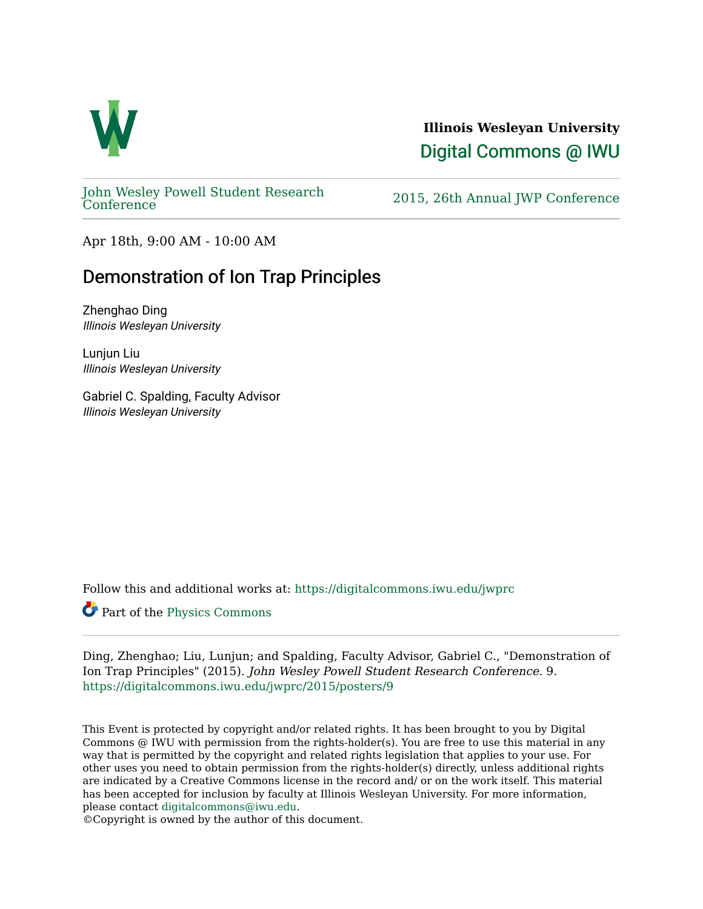

## **Illinois Wesleyan University**  [Digital Commons @ IWU](https://digitalcommons.iwu.edu/)

[John Wesley Powell Student Research](https://digitalcommons.iwu.edu/jwprc) 

2015, 26th Annual JWP [Conference](https://digitalcommons.iwu.edu/jwprc)

Apr 18th, 9:00 AM - 10:00 AM

# Demonstration of Ion Trap Principles

Zhenghao Ding Illinois Wesleyan University

Lunjun Liu Illinois Wesleyan University

Gabriel C. Spalding, Faculty Advisor Illinois Wesleyan University

Follow this and additional works at: [https://digitalcommons.iwu.edu/jwprc](https://digitalcommons.iwu.edu/jwprc?utm_source=digitalcommons.iwu.edu%2Fjwprc%2F2015%2Fposters%2F9&utm_medium=PDF&utm_campaign=PDFCoverPages) 

Part of the [Physics Commons](http://network.bepress.com/hgg/discipline/193?utm_source=digitalcommons.iwu.edu%2Fjwprc%2F2015%2Fposters%2F9&utm_medium=PDF&utm_campaign=PDFCoverPages) 

Ding, Zhenghao; Liu, Lunjun; and Spalding, Faculty Advisor, Gabriel C., "Demonstration of Ion Trap Principles" (2015). John Wesley Powell Student Research Conference. 9. [https://digitalcommons.iwu.edu/jwprc/2015/posters/9](https://digitalcommons.iwu.edu/jwprc/2015/posters/9?utm_source=digitalcommons.iwu.edu%2Fjwprc%2F2015%2Fposters%2F9&utm_medium=PDF&utm_campaign=PDFCoverPages) 

This Event is protected by copyright and/or related rights. It has been brought to you by Digital Commons @ IWU with permission from the rights-holder(s). You are free to use this material in any way that is permitted by the copyright and related rights legislation that applies to your use. For other uses you need to obtain permission from the rights-holder(s) directly, unless additional rights are indicated by a Creative Commons license in the record and/ or on the work itself. This material has been accepted for inclusion by faculty at Illinois Wesleyan University. For more information, please contact [digitalcommons@iwu.edu.](mailto:digitalcommons@iwu.edu)

©Copyright is owned by the author of this document.